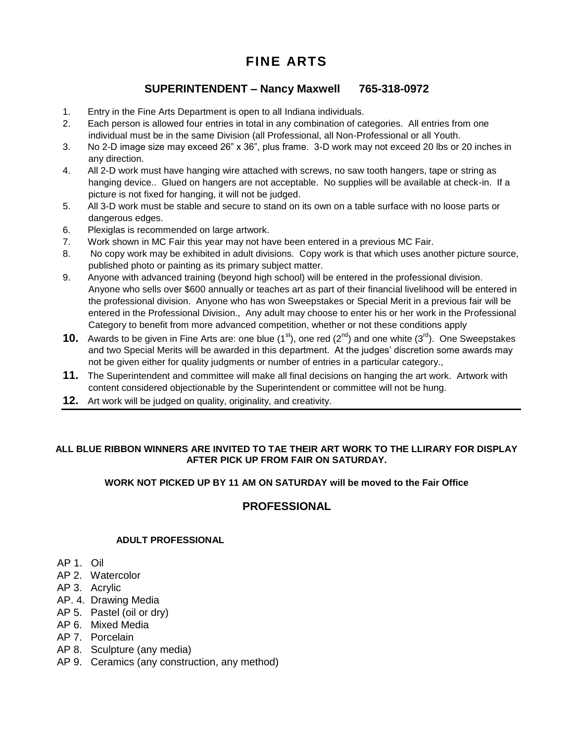# **FINE ARTS**

# **SUPERINTENDENT – Nancy Maxwell 765-318-0972**

- 1. Entry in the Fine Arts Department is open to all Indiana individuals.
- 2. Each person is allowed four entries in total in any combination of categories. All entries from one individual must be in the same Division (all Professional, all Non-Professional or all Youth.
- 3. No 2-D image size may exceed 26" x 36", plus frame. 3-D work may not exceed 20 lbs or 20 inches in any direction.
- 4. All 2-D work must have hanging wire attached with screws, no saw tooth hangers, tape or string as hanging device.. Glued on hangers are not acceptable. No supplies will be available at check-in. If a picture is not fixed for hanging, it will not be judged.
- 5. All 3-D work must be stable and secure to stand on its own on a table surface with no loose parts or dangerous edges.
- 6. Plexiglas is recommended on large artwork.
- 7. Work shown in MC Fair this year may not have been entered in a previous MC Fair.
- 8. No copy work may be exhibited in adult divisions. Copy work is that which uses another picture source, published photo or painting as its primary subject matter.
- 9. Anyone with advanced training (beyond high school) will be entered in the professional division. Anyone who sells over \$600 annually or teaches art as part of their financial livelihood will be entered in the professional division. Anyone who has won Sweepstakes or Special Merit in a previous fair will be entered in the Professional Division., Any adult may choose to enter his or her work in the Professional Category to benefit from more advanced competition, whether or not these conditions apply
- **10.** Awards to be given in Fine Arts are: one blue  $(1^{st})$ , one red  $(2^{nd})$  and one white  $(3^{rd})$ . One Sweepstakes and two Special Merits will be awarded in this department. At the judges' discretion some awards may not be given either for quality judgments or number of entries in a particular category.,
- **11.** The Superintendent and committee will make all final decisions on hanging the art work. Artwork with content considered objectionable by the Superintendent or committee will not be hung.
- **12.** Art work will be judged on quality, originality, and creativity.

#### **ALL BLUE RIBBON WINNERS ARE INVITED TO TAE THEIR ART WORK TO THE LLIRARY FOR DISPLAY AFTER PICK UP FROM FAIR ON SATURDAY.**

#### **WORK NOT PICKED UP BY 11 AM ON SATURDAY will be moved to the Fair Office**

# **PROFESSIONAL**

### **ADULT PROFESSIONAL**

- AP 1. Oil
- AP 2. Watercolor
- AP 3. Acrylic
- AP. 4. Drawing Media
- AP 5. Pastel (oil or dry)
- AP 6. Mixed Media
- AP 7. Porcelain
- AP 8. Sculpture (any media)
- AP 9. Ceramics (any construction, any method)